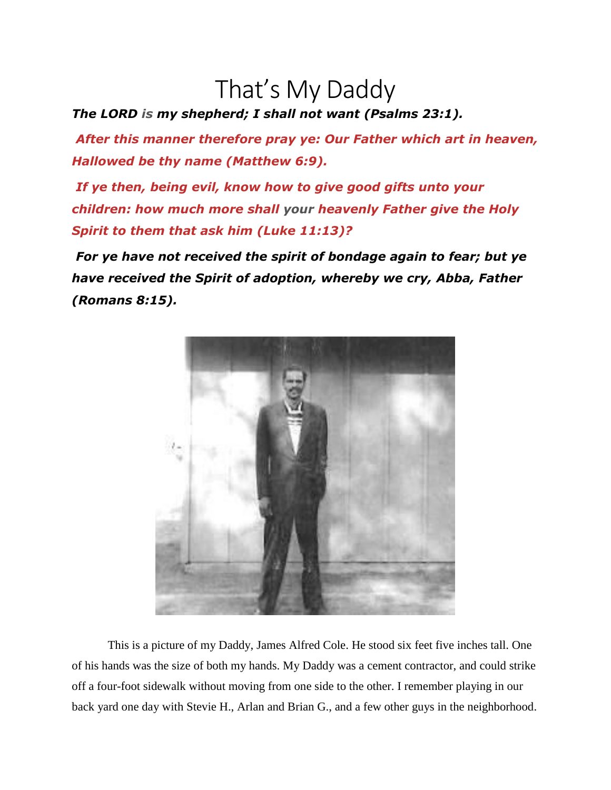## That's My Daddy

*The LORD is my shepherd; I shall not want (Psalms 23:1).*

*After this manner therefore pray ye: Our Father which art in heaven, Hallowed be thy name (Matthew 6:9).*

*If ye then, being evil, know how to give good gifts unto your children: how much more shall your heavenly Father give the Holy Spirit to them that ask him (Luke 11:13)?*

*For ye have not received the spirit of bondage again to fear; but ye have received the Spirit of adoption, whereby we cry, Abba, Father (Romans 8:15).*



This is a picture of my Daddy, James Alfred Cole. He stood six feet five inches tall. One of his hands was the size of both my hands. My Daddy was a cement contractor, and could strike off a four-foot sidewalk without moving from one side to the other. I remember playing in our back yard one day with Stevie H., Arlan and Brian G., and a few other guys in the neighborhood.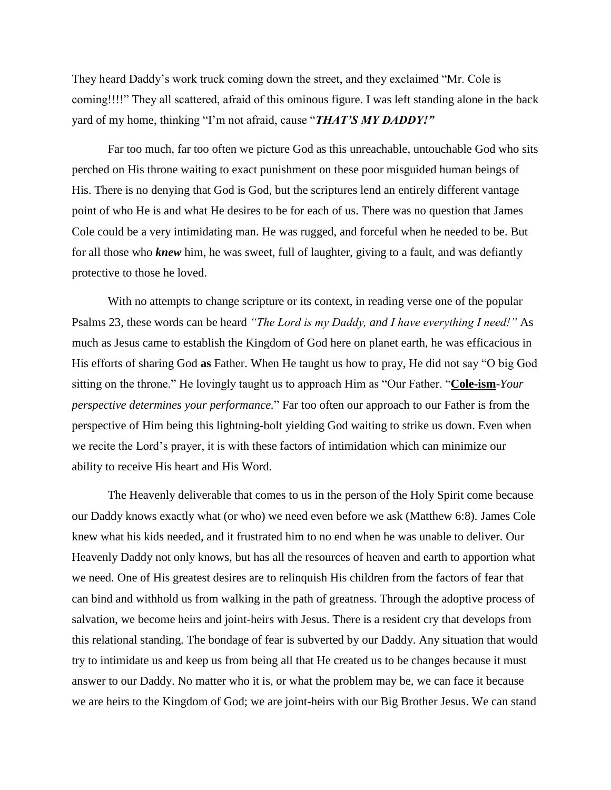They heard Daddy's work truck coming down the street, and they exclaimed "Mr. Cole is coming!!!!" They all scattered, afraid of this ominous figure. I was left standing alone in the back yard of my home, thinking "I'm not afraid, cause "*THAT'S MY DADDY!"*

Far too much, far too often we picture God as this unreachable, untouchable God who sits perched on His throne waiting to exact punishment on these poor misguided human beings of His. There is no denying that God is God, but the scriptures lend an entirely different vantage point of who He is and what He desires to be for each of us. There was no question that James Cole could be a very intimidating man. He was rugged, and forceful when he needed to be. But for all those who *knew* him, he was sweet, full of laughter, giving to a fault, and was defiantly protective to those he loved.

With no attempts to change scripture or its context, in reading verse one of the popular Psalms 23, these words can be heard *"The Lord is my Daddy, and I have everything I need!"* As much as Jesus came to establish the Kingdom of God here on planet earth, he was efficacious in His efforts of sharing God **as** Father. When He taught us how to pray, He did not say "O big God sitting on the throne." He lovingly taught us to approach Him as "Our Father. "**Cole-ism**-*Your perspective determines your performance.*" Far too often our approach to our Father is from the perspective of Him being this lightning-bolt yielding God waiting to strike us down. Even when we recite the Lord's prayer, it is with these factors of intimidation which can minimize our ability to receive His heart and His Word.

The Heavenly deliverable that comes to us in the person of the Holy Spirit come because our Daddy knows exactly what (or who) we need even before we ask (Matthew 6:8). James Cole knew what his kids needed, and it frustrated him to no end when he was unable to deliver. Our Heavenly Daddy not only knows, but has all the resources of heaven and earth to apportion what we need. One of His greatest desires are to relinquish His children from the factors of fear that can bind and withhold us from walking in the path of greatness. Through the adoptive process of salvation, we become heirs and joint-heirs with Jesus. There is a resident cry that develops from this relational standing. The bondage of fear is subverted by our Daddy. Any situation that would try to intimidate us and keep us from being all that He created us to be changes because it must answer to our Daddy. No matter who it is, or what the problem may be, we can face it because we are heirs to the Kingdom of God; we are joint-heirs with our Big Brother Jesus. We can stand